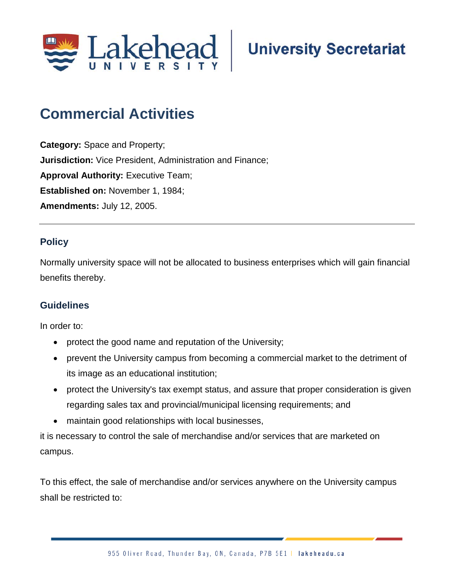

## **Commercial Activities**

**Category:** Space and Property; **Jurisdiction:** Vice President, Administration and Finance; **Approval Authority: Executive Team; Established on:** November 1, 1984; **Amendments:** July 12, 2005.

## **Policy**

Normally university space will not be allocated to business enterprises which will gain financial benefits thereby.

## **Guidelines**

In order to:

- protect the good name and reputation of the University;
- prevent the University campus from becoming a commercial market to the detriment of its image as an educational institution;
- protect the University's tax exempt status, and assure that proper consideration is given regarding sales tax and provincial/municipal licensing requirements; and
- maintain good relationships with local businesses,

it is necessary to control the sale of merchandise and/or services that are marketed on campus.

To this effect, the sale of merchandise and/or services anywhere on the University campus shall be restricted to: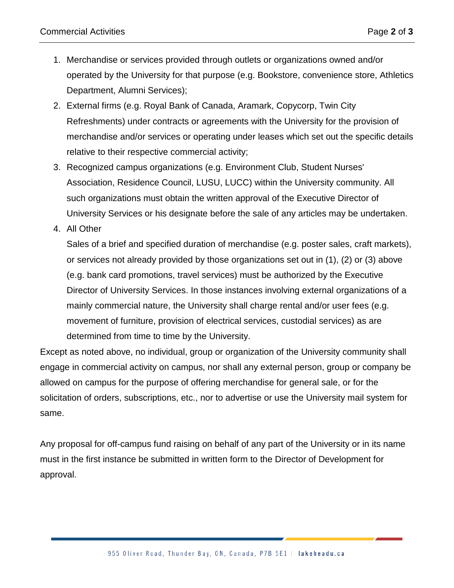- 1. Merchandise or services provided through outlets or organizations owned and/or operated by the University for that purpose (e.g. Bookstore, convenience store, Athletics Department, Alumni Services);
- 2. External firms (e.g. Royal Bank of Canada, Aramark, Copycorp, Twin City Refreshments) under contracts or agreements with the University for the provision of merchandise and/or services or operating under leases which set out the specific details relative to their respective commercial activity;
- 3. Recognized campus organizations (e.g. Environment Club, Student Nurses' Association, Residence Council, LUSU, LUCC) within the University community. All such organizations must obtain the written approval of the Executive Director of University Services or his designate before the sale of any articles may be undertaken.
- 4. All Other

Sales of a brief and specified duration of merchandise (e.g. poster sales, craft markets), or services not already provided by those organizations set out in (1), (2) or (3) above (e.g. bank card promotions, travel services) must be authorized by the Executive Director of University Services. In those instances involving external organizations of a mainly commercial nature, the University shall charge rental and/or user fees (e.g. movement of furniture, provision of electrical services, custodial services) as are determined from time to time by the University.

Except as noted above, no individual, group or organization of the University community shall engage in commercial activity on campus, nor shall any external person, group or company be allowed on campus for the purpose of offering merchandise for general sale, or for the solicitation of orders, subscriptions, etc., nor to advertise or use the University mail system for same.

Any proposal for off-campus fund raising on behalf of any part of the University or in its name must in the first instance be submitted in written form to the Director of Development for approval.